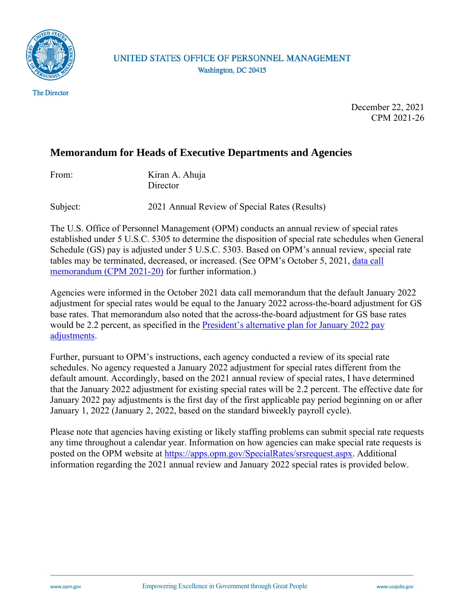

**The Director** 

UNITED STATES OFFICE OF PERSONNEL MANAGEMENT Washington, DC 20415

> December 22, 2021 CPM 2021-26

## **Memorandum for Heads of Executive Departments and Agencies**

Kiran A. Ahuja **Director** 

Subject: 2021 Annual Review of Special Rates (Results)

The U.S. Office of Personnel Management (OPM) conducts an annual review of special rates established under 5 U.S.C. 5305 to determine the disposition of special rate schedules when General Schedule (GS) pay is adjusted under 5 U.S.C. 5303. Based on OPM's annual review, special rate tables may be terminated, decreased, or increased. (See OPM's October 5, 2021, [data call](https://www.chcoc.gov/content/2021-annual-review-special-rates-data-call)  [memorandum \(CPM 2021-20\)](https://www.chcoc.gov/content/2021-annual-review-special-rates-data-call) for further information.)

Agencies were informed in the October 2021 data call memorandum that the default January 2022 adjustment for special rates would be equal to the January 2022 across-the-board adjustment for GS base rates. That memorandum also noted that the across-the-board adjustment for GS base rates would be 2.2 percent, as specified in the President's alternative plan for January 2022 pay [adjustments.](https://www.whitehouse.gov/briefing-room/statements-releases/2021/08/27/letter-to-the-speaker-of-the-house-and-the-president-of-the-senate-on-the-alternative-plan-for-pay-adjustments-for-civilian-federal-employees/)

Further, pursuant to OPM's instructions, each agency conducted a review of its special rate schedules. No agency requested a January 2022 adjustment for special rates different from the default amount. Accordingly, based on the 2021 annual review of special rates, I have determined that the January 2022 adjustment for existing special rates will be 2.2 percent. The effective date for January 2022 pay adjustments is the first day of the first applicable pay period beginning on or after January 1, 2022 (January 2, 2022, based on the standard biweekly payroll cycle).

Please note that agencies having existing or likely staffing problems can submit special rate requests any time throughout a calendar year. Information on how agencies can make special rate requests is posted on the OPM website at<https://apps.opm.gov/SpecialRates/srsrequest.aspx>. Additional information regarding the 2021 annual review and January 2022 special rates is provided below.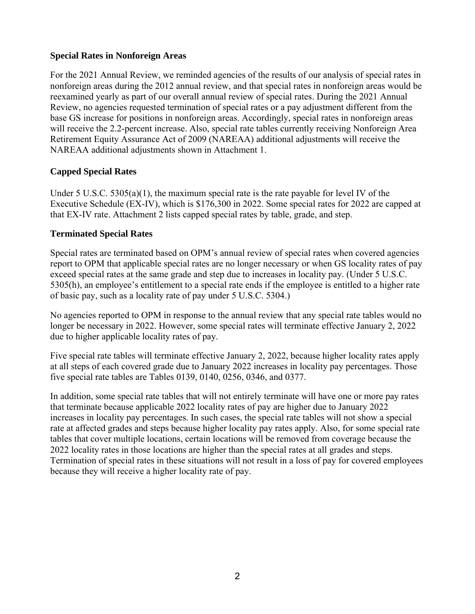### **Special Rates in Nonforeign Areas**

For the 2021 Annual Review, we reminded agencies of the results of our analysis of special rates in nonforeign areas during the 2012 annual review, and that special rates in nonforeign areas would be reexamined yearly as part of our overall annual review of special rates. During the 2021 Annual Review, no agencies requested termination of special rates or a pay adjustment different from the base GS increase for positions in nonforeign areas. Accordingly, special rates in nonforeign areas will receive the 2.2-percent increase. Also, special rate tables currently receiving Nonforeign Area Retirement Equity Assurance Act of 2009 (NAREAA) additional adjustments will receive the NAREAA additional adjustments shown in Attachment 1.

## **Capped Special Rates**

Under 5 U.S.C.  $5305(a)(1)$ , the maximum special rate is the rate payable for level IV of the Executive Schedule (EX-IV), which is \$176,300 in 2022. Some special rates for 2022 are capped at that EX-IV rate. Attachment 2 lists capped special rates by table, grade, and step.

#### **Terminated Special Rates**

Special rates are terminated based on OPM's annual review of special rates when covered agencies report to OPM that applicable special rates are no longer necessary or when GS locality rates of pay exceed special rates at the same grade and step due to increases in locality pay. (Under 5 U.S.C. 5305(h), an employee's entitlement to a special rate ends if the employee is entitled to a higher rate of basic pay, such as a locality rate of pay under 5 U.S.C. 5304.)

No agencies reported to OPM in response to the annual review that any special rate tables would no longer be necessary in 2022. However, some special rates will terminate effective January 2, 2022 due to higher applicable locality rates of pay.

Five special rate tables will terminate effective January 2, 2022, because higher locality rates apply at all steps of each covered grade due to January 2022 increases in locality pay percentages. Those five special rate tables are Tables 0139, 0140, 0256, 0346, and 0377.

In addition, some special rate tables that will not entirely terminate will have one or more pay rates that terminate because applicable 2022 locality rates of pay are higher due to January 2022 increases in locality pay percentages. In such cases, the special rate tables will not show a special rate at affected grades and steps because higher locality pay rates apply. Also, for some special rate tables that cover multiple locations, certain locations will be removed from coverage because the 2022 locality rates in those locations are higher than the special rates at all grades and steps. Termination of special rates in these situations will not result in a loss of pay for covered employees because they will receive a higher locality rate of pay.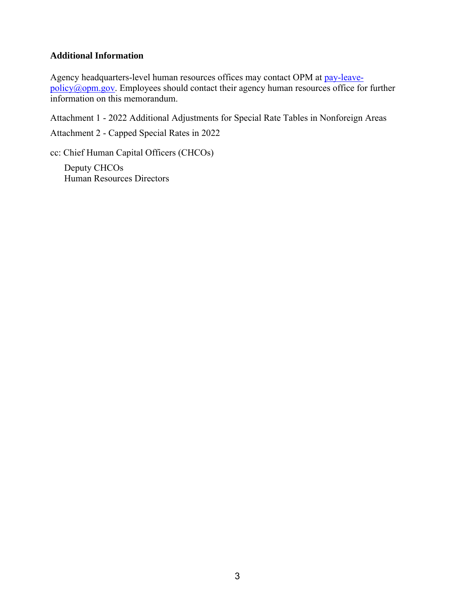#### **Additional Information**

Agency headquarters-level human resources offices may contact OPM at [pay-leave](mailto:pay-leave-policy@opm.gov)[policy@opm.gov.](mailto:pay-leave-policy@opm.gov) Employees should contact their agency human resources office for further information on this memorandum.

Attachment 1 - 2022 Additional Adjustments for Special Rate Tables in Nonforeign Areas

Attachment 2 - Capped Special Rates in 2022

cc: Chief Human Capital Officers (CHCOs)

Deputy CHCOs Human Resources Directors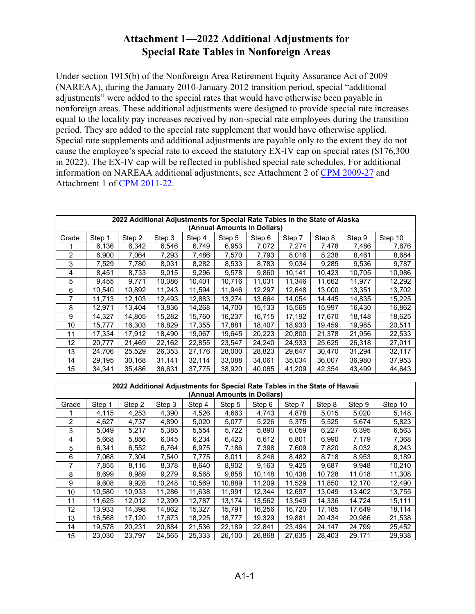## **Attachment 1—2022 Additional Adjustments for Special Rate Tables in Nonforeign Areas**

Under section 1915(b) of the Nonforeign Area Retirement Equity Assurance Act of 2009 (NAREAA), during the January 2010-January 2012 transition period, special "additional adjustments" were added to the special rates that would have otherwise been payable in nonforeign areas. These additional adjustments were designed to provide special rate increases equal to the locality pay increases received by non-special rate employees during the transition period. They are added to the special rate supplement that would have otherwise applied. Special rate supplements and additional adjustments are payable only to the extent they do not cause the employee's special rate to exceed the statutory EX-IV cap on special rates (\$176,300 in 2022). The EX-IV cap will be reflected in published special rate schedules. For additional information on NAREAA additional adjustments, see Attachment 2 of [CPM 2009-27](https://www.chcoc.gov/content/nonforeign-area-retirement-equity-assurance-act) and Attachment 1 of [CPM 2011-22.](https://www.chcoc.gov/content/2011-annual-review-special-rates-0) 

| 2022 Additional Adjustments for Special Rate Tables in the State of Alaska<br>(Annual Amounts in Dollars) |        |        |        |        |        |        |        |        |        |         |
|-----------------------------------------------------------------------------------------------------------|--------|--------|--------|--------|--------|--------|--------|--------|--------|---------|
| Grade                                                                                                     | Step 1 | Step 2 | Step 3 | Step 4 | Step 5 | Step 6 | Step 7 | Step 8 | Step 9 | Step 10 |
|                                                                                                           | 6,136  | 6,342  | 6,546  | 6,749  | 6,953  | 7,072  | 7,274  | 7,478  | 7,486  | 7,676   |
| 2                                                                                                         | 6,900  | 7,064  | 7,293  | 7,486  | 7,570  | 7,793  | 8,016  | 8,238  | 8,461  | 8,684   |
| 3                                                                                                         | 7,529  | 7,780  | 8,031  | 8,282  | 8,533  | 8,783  | 9,034  | 9,285  | 9,536  | 9,787   |
| 4                                                                                                         | 8,451  | 8,733  | 9,015  | 9,296  | 9,578  | 9,860  | 10,141 | 10,423 | 10,705 | 10,986  |
| 5                                                                                                         | 9,455  | 9,771  | 10,086 | 10.401 | 10,716 | 11,031 | 11,346 | 11,662 | 11,977 | 12,292  |
| 6                                                                                                         | 10,540 | 10,892 | 11,243 | 11,594 | 11,946 | 12,297 | 12,648 | 13,000 | 13,351 | 13,702  |
| 7                                                                                                         | 11,713 | 12,103 | 12,493 | 12,883 | 13,274 | 13,664 | 14,054 | 14,445 | 14,835 | 15,225  |
| 8                                                                                                         | 12,971 | 13,404 | 13,836 | 14,268 | 14,700 | 15,133 | 15,565 | 15,997 | 16,430 | 16,862  |
| 9                                                                                                         | 14,327 | 14,805 | 15,282 | 15,760 | 16,237 | 16,715 | 17,192 | 17,670 | 18,148 | 18,625  |
| 10                                                                                                        | 15,777 | 16,303 | 16,829 | 17,355 | 17,881 | 18,407 | 18,933 | 19,459 | 19,985 | 20,511  |
| 11                                                                                                        | 17,334 | 17,912 | 18,490 | 19,067 | 19,645 | 20,223 | 20,800 | 21,378 | 21,956 | 22,533  |
| $12 \overline{ }$                                                                                         | 20,777 | 21,469 | 22,162 | 22,855 | 23,547 | 24,240 | 24,933 | 25,625 | 26,318 | 27,011  |
| 13                                                                                                        | 24,706 | 25,529 | 26,353 | 27,176 | 28,000 | 28,823 | 29,647 | 30,470 | 31,294 | 32,117  |
| 14                                                                                                        | 29,195 | 30,168 | 31,141 | 32,114 | 33,088 | 34,061 | 35,034 | 36,007 | 36,980 | 37,953  |
| 15                                                                                                        | 34,341 | 35,486 | 36,631 | 37,775 | 38,920 | 40,065 | 41,209 | 42,354 | 43,499 | 44,643  |

| 2022 Additional Adjustments for Special Rate Tables in the State of Hawaii<br>(Annual Amounts in Dollars) |        |        |        |        |        |        |        |        |        |         |
|-----------------------------------------------------------------------------------------------------------|--------|--------|--------|--------|--------|--------|--------|--------|--------|---------|
| Grade                                                                                                     | Step 1 | Step 2 | Step 3 | Step 4 | Step 5 | Step 6 | Step 7 | Step 8 | Step 9 | Step 10 |
|                                                                                                           | 4,115  | 4,253  | 4,390  | 4,526  | 4,663  | 4,743  | 4,878  | 5,015  | 5,020  | 5,148   |
| $\overline{2}$                                                                                            | 4,627  | 4,737  | 4,890  | 5,020  | 5,077  | 5,226  | 5,375  | 5,525  | 5,674  | 5,823   |
| 3                                                                                                         | 5,049  | 5,217  | 5,385  | 5,554  | 5,722  | 5,890  | 6,059  | 6,227  | 6,395  | 6,563   |
| 4                                                                                                         | 5,668  | 5,856  | 6,045  | 6,234  | 6,423  | 6,612  | 6,801  | 6,990  | 7,179  | 7,368   |
| 5                                                                                                         | 6,341  | 6,552  | 6,764  | 6,975  | 7,186  | 7,398  | 7,609  | 7,820  | 8,032  | 8,243   |
| 6                                                                                                         | 7,068  | 7,304  | 7,540  | 7,775  | 8,011  | 8,246  | 8,482  | 8,718  | 8,953  | 9,189   |
|                                                                                                           | 7,855  | 8,116  | 8,378  | 8,640  | 8,902  | 9,163  | 9,425  | 9,687  | 9,948  | 10,210  |
| 8                                                                                                         | 8,699  | 8,989  | 9,279  | 9,568  | 9,858  | 10,148 | 10,438 | 10,728 | 11,018 | 11,308  |
| 9                                                                                                         | 9,608  | 9,928  | 10,248 | 10,569 | 10,889 | 11,209 | 11,529 | 11,850 | 12,170 | 12,490  |
| 10                                                                                                        | 10,580 | 10,933 | 11,286 | 11,638 | 11,991 | 12,344 | 12,697 | 13,049 | 13,402 | 13,755  |
| 11                                                                                                        | 11,625 | 12,012 | 12,399 | 12,787 | 13,174 | 13,562 | 13,949 | 14,336 | 14,724 | 15,111  |
| $12 \overline{ }$                                                                                         | 13.933 | 14.398 | 14.862 | 15.327 | 15,791 | 16,256 | 16,720 | 17,185 | 17,649 | 18,114  |
| 13                                                                                                        | 16,568 | 17.120 | 17,673 | 18,225 | 18,777 | 19,329 | 19,881 | 20,434 | 20,986 | 21,538  |
| 14                                                                                                        | 19,578 | 20,231 | 20,884 | 21,536 | 22,189 | 22,841 | 23,494 | 24,147 | 24,799 | 25,452  |
| 15                                                                                                        | 23,030 | 23,797 | 24,565 | 25,333 | 26,100 | 26,868 | 27,635 | 28,403 | 29,171 | 29,938  |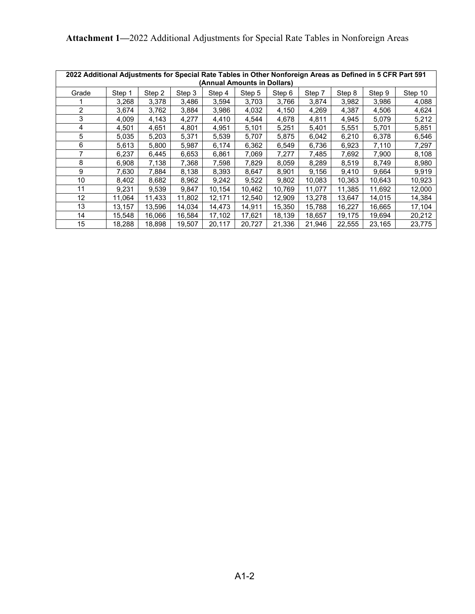| 2022 Additional Adjustments for Special Rate Tables in Other Nonforeign Areas as Defined in 5 CFR Part 591<br>(Annual Amounts in Dollars) |        |        |        |        |        |        |        |        |        |         |
|-------------------------------------------------------------------------------------------------------------------------------------------|--------|--------|--------|--------|--------|--------|--------|--------|--------|---------|
| Grade                                                                                                                                     | Step 1 | Step 2 | Step 3 | Step 4 | Step 5 | Step 6 | Step 7 | Step 8 | Step 9 | Step 10 |
|                                                                                                                                           | 3,268  | 3,378  | 3,486  | 3,594  | 3,703  | 3,766  | 3,874  | 3,982  | 3,986  | 4,088   |
| 2                                                                                                                                         | 3,674  | 3,762  | 3,884  | 3,986  | 4,032  | 4,150  | 4,269  | 4,387  | 4,506  | 4,624   |
| 3                                                                                                                                         | 4,009  | 4,143  | 4,277  | 4,410  | 4,544  | 4,678  | 4,811  | 4,945  | 5,079  | 5,212   |
| 4                                                                                                                                         | 4,501  | 4,651  | 4,801  | 4,951  | 5,101  | 5,251  | 5,401  | 5,551  | 5,701  | 5,851   |
| 5                                                                                                                                         | 5,035  | 5,203  | 5,371  | 5,539  | 5,707  | 5,875  | 6,042  | 6,210  | 6,378  | 6,546   |
| 6                                                                                                                                         | 5,613  | 5,800  | 5,987  | 6,174  | 6,362  | 6,549  | 6,736  | 6,923  | 7,110  | 7,297   |
|                                                                                                                                           | 6,237  | 6,445  | 6,653  | 6,861  | 7,069  | 7,277  | 7.485  | 7,692  | 7,900  | 8,108   |
| 8                                                                                                                                         | 6,908  | 7,138  | 7,368  | 7,598  | 7,829  | 8,059  | 8,289  | 8,519  | 8,749  | 8,980   |
| 9                                                                                                                                         | 7.630  | 7,884  | 8,138  | 8,393  | 8,647  | 8,901  | 9,156  | 9.410  | 9,664  | 9,919   |
| 10                                                                                                                                        | 8,402  | 8,682  | 8,962  | 9,242  | 9,522  | 9,802  | 10,083 | 10.363 | 10,643 | 10,923  |
| 11                                                                                                                                        | 9,231  | 9,539  | 9,847  | 10,154 | 10,462 | 10,769 | 11,077 | 11,385 | 11,692 | 12,000  |
| 12                                                                                                                                        | 11,064 | 11,433 | 11,802 | 12,171 | 12,540 | 12,909 | 13,278 | 13,647 | 14,015 | 14,384  |
| 13                                                                                                                                        | 13,157 | 13,596 | 14,034 | 14,473 | 14,911 | 15,350 | 15,788 | 16,227 | 16,665 | 17,104  |
| 14                                                                                                                                        | 15,548 | 16,066 | 16,584 | 17,102 | 17,621 | 18,139 | 18,657 | 19,175 | 19,694 | 20,212  |
| 15                                                                                                                                        | 18,288 | 18,898 | 19,507 | 20,117 | 20,727 | 21,336 | 21,946 | 22,555 | 23,165 | 23,775  |

**Attachment 1—**2022 Additional Adjustments for Special Rate Tables in Nonforeign Areas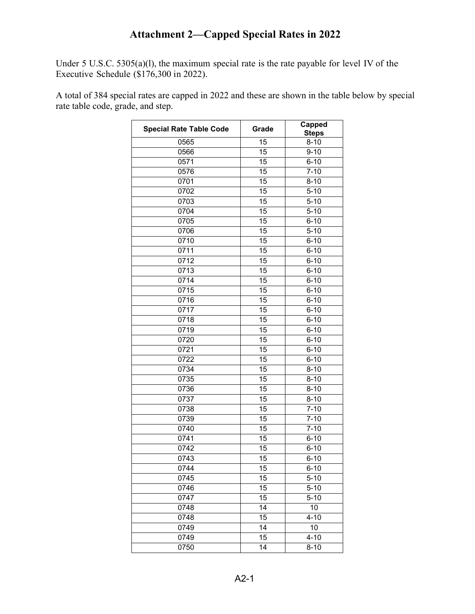# **Attachment 2—Capped Special Rates in 2022**

Under 5 U.S.C. 5305(a)(l), the maximum special rate is the rate payable for level IV of the Executive Schedule (\$176,300 in 2022).

A total of 384 special rates are capped in 2022 and these are shown in the table below by special rate table code, grade, and step.

| <b>Special Rate Table Code</b> | Grade | <b>Capped</b><br><b>Steps</b> |
|--------------------------------|-------|-------------------------------|
| 0565                           | 15    | $8 - 10$                      |
| 0566                           | 15    | $9 - 10$                      |
| 0571                           | 15    | $6 - 10$                      |
| 0576                           | 15    | $7 - 10$                      |
| 0701                           | 15    | $8 - 10$                      |
| 0702                           | 15    | $5 - 10$                      |
| 0703                           | 15    | $5 - 10$                      |
| 0704                           | 15    | $5 - 10$                      |
| 0705                           | 15    | $6 - 10$                      |
| 0706                           | 15    | $5 - 10$                      |
| 0710                           | 15    | $6 - 10$                      |
| 0711                           | 15    | $6 - 10$                      |
| 0712                           | 15    | $6 - 10$                      |
| 0713                           | 15    | $6 - 10$                      |
| 0714                           | 15    | $6 - 10$                      |
| 0715                           | 15    | $6 - 10$                      |
| 0716                           | 15    | $6 - 10$                      |
| 0717                           | 15    | $6 - 10$                      |
| 0718                           | 15    | $6 - 10$                      |
| 0719                           | 15    | $6 - 10$                      |
| 0720                           | 15    | $6 - 10$                      |
| 0721                           | 15    | $6 - 10$                      |
| 0722                           | 15    | $6 - 10$                      |
| 0734                           | 15    | $8 - 10$                      |
| 0735                           | 15    | $8 - 10$                      |
| 0736                           | 15    | $8 - 10$                      |
| 0737                           | 15    | $8 - 10$                      |
| 0738                           | 15    | $7 - 10$                      |
| 0739                           | 15    | $7 - 10$                      |
| 0740                           | 15    | $7 - 10$                      |
| 0741                           | 15    | $6 - 10$                      |
| 0742                           | 15    | $6 - 10$                      |
| 0743                           | 15    | $6 - 10$                      |
| 0744                           | 15    | 6-10                          |
| 0745                           | 15    | $5 - 10$                      |
| 0746                           | 15    | $5 - 10$                      |
| 0747                           | 15    | $5 - 10$                      |
| 0748                           | 14    | 10                            |
| 0748                           | 15    | $4 - 10$                      |
| 0749                           | 14    | 10                            |
| 0749                           | 15    | $4 - 10$                      |
| 0750                           | 14    | $8 - 10$                      |